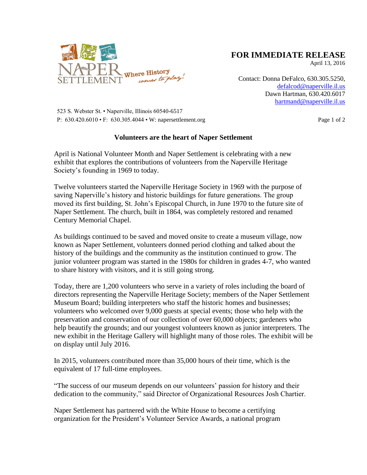

## **FOR IMMEDIATE RELEASE**

April 13, 2016

Contact: Donna DeFalco, 630.305.5250, [defalcod@naperville.il.us](mailto:defalcod@naperville.il.us) Dawn Hartman, 630.420.6017 [hartmand@naperville.il.us](mailto:hartmand@naperville.il.us)

 523 S. Webster St. • Naperville, Illinois 60540-6517 P: 630.420.6010 • F: 630.305.4044 • W: napersettlement.org Page 1 of 2

## **Volunteers are the heart of Naper Settlement**

April is National Volunteer Month and Naper Settlement is celebrating with a new exhibit that explores the contributions of volunteers from the Naperville Heritage Society's founding in 1969 to today.

Twelve volunteers started the Naperville Heritage Society in 1969 with the purpose of saving Naperville's history and historic buildings for future generations. The group moved its first building, St. John's Episcopal Church, in June 1970 to the future site of Naper Settlement. The church, built in 1864, was completely restored and renamed Century Memorial Chapel.

As buildings continued to be saved and moved onsite to create a museum village, now known as Naper Settlement, volunteers donned period clothing and talked about the history of the buildings and the community as the institution continued to grow. The junior volunteer program was started in the 1980s for children in grades 4-7, who wanted to share history with visitors, and it is still going strong.

Today, there are 1,200 volunteers who serve in a variety of roles including the board of directors representing the Naperville Heritage Society; members of the Naper Settlement Museum Board; building interpreters who staff the historic homes and businesses; volunteers who welcomed over 9,000 guests at special events; those who help with the preservation and conservation of our collection of over 60,000 objects; gardeners who help beautify the grounds; and our youngest volunteers known as junior interpreters. The new exhibit in the Heritage Gallery will highlight many of those roles. The exhibit will be on display until July 2016.

In 2015, volunteers contributed more than 35,000 hours of their time, which is the equivalent of 17 full-time employees.

"The success of our museum depends on our volunteers' passion for history and their dedication to the community," said Director of Organizational Resources Josh Chartier.

Naper Settlement has partnered with the White House to become a certifying organization for the President's Volunteer Service Awards, a national program